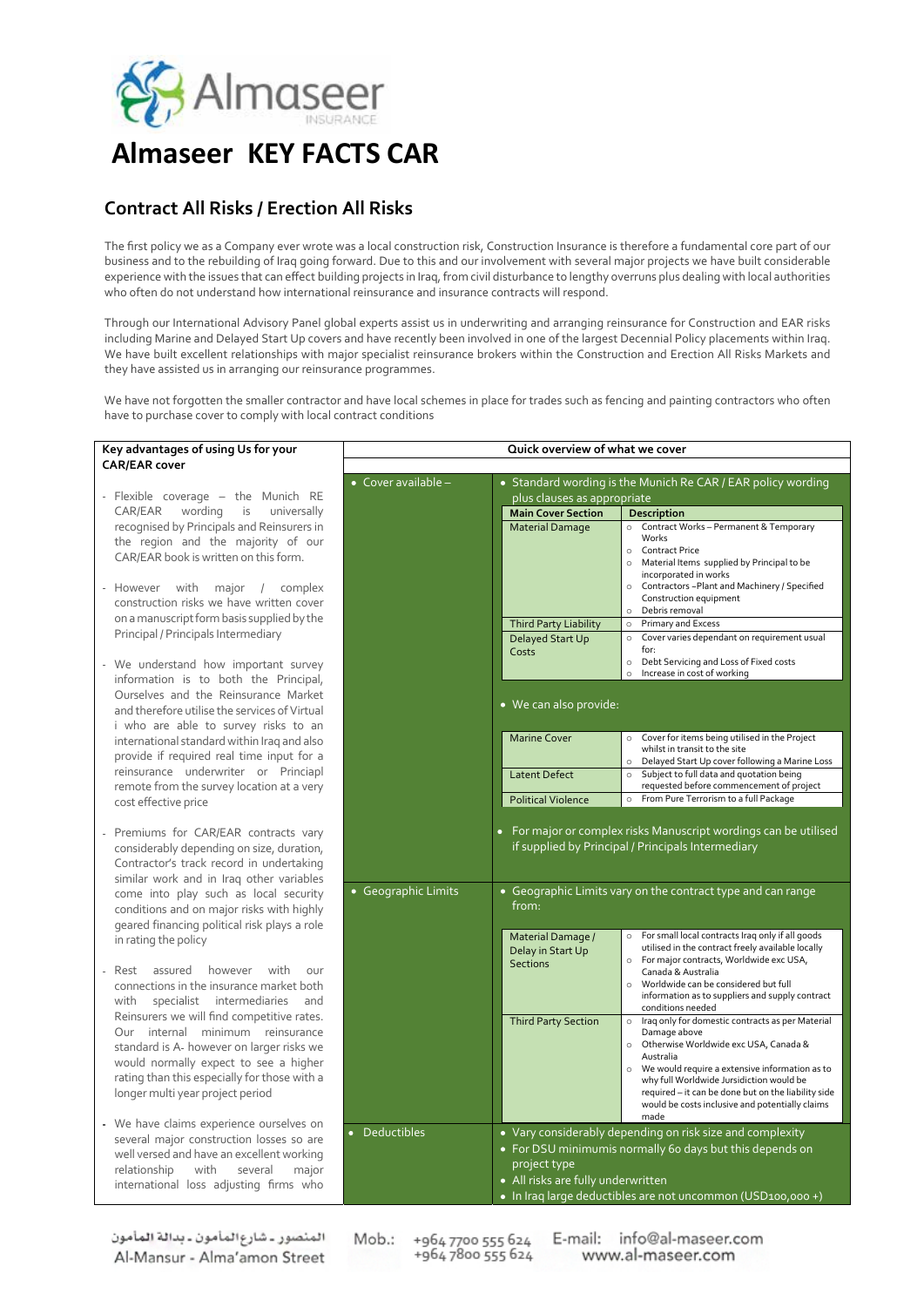

## **Almaseer KEY FACTS CAR**

## **Contract All Risks / Erection All Risks**

**CAR/EAR cover**

The first policy we as a Company ever wrote was a local construction risk, Construction Insurance is therefore a fundamental core part of our business and to the rebuilding of Iraq going forward. Due to this and our involvement with several major projects we have built considerable experience with the issues that can effect building projects in Iraq, from civil disturbance to lengthy overruns plus dealing with local authorities who often do not understand how international reinsurance and insurance contracts will respond.

Through our International Advisory Panel global experts assist us in underwriting and arranging reinsurance for Construction and EAR risks including Marine and Delayed Start Up covers and have recently been involved in one of the largest Decennial Policy placements within Iraq. We have built excellent relationships with major specialist reinsurance brokers within the Construction and Erection All Risks Markets and they have assisted us in arranging our reinsurance programmes.

We have not forgotten the smaller contractor and have local schemes in place for trades such as fencing and painting contractors who often have to purchase cover to comply with local contract conditions

| Key advantages of using Us for your<br><b>CAR/EAR cover</b>                                                                                                              | Quick overview of what we cover |                                                              |                                                                                                        |  |  |  |
|--------------------------------------------------------------------------------------------------------------------------------------------------------------------------|---------------------------------|--------------------------------------------------------------|--------------------------------------------------------------------------------------------------------|--|--|--|
|                                                                                                                                                                          | • Cover available -             | • Standard wording is the Munich Re CAR / EAR policy wording |                                                                                                        |  |  |  |
| Flexible coverage $-$ the Munich RE                                                                                                                                      |                                 | plus clauses as appropriate                                  |                                                                                                        |  |  |  |
| CAR/EAR<br>wording<br>is<br>universally                                                                                                                                  |                                 | <b>Main Cover Section</b>                                    | Description                                                                                            |  |  |  |
| recognised by Principals and Reinsurers in                                                                                                                               |                                 | <b>Material Damage</b>                                       | Contract Works - Permanent & Temporary<br>$\circ$                                                      |  |  |  |
| the region and the majority of our                                                                                                                                       |                                 |                                                              | Works                                                                                                  |  |  |  |
|                                                                                                                                                                          |                                 |                                                              | o Contract Price                                                                                       |  |  |  |
| CAR/EAR book is written on this form.                                                                                                                                    |                                 |                                                              | Material Items supplied by Principal to be<br>$\circ$                                                  |  |  |  |
|                                                                                                                                                                          |                                 |                                                              | incorporated in works                                                                                  |  |  |  |
| major<br>complex<br>However<br>with<br>$\frac{1}{2}$                                                                                                                     |                                 |                                                              | o Contractors ~Plant and Machinery / Specified<br>Construction equipment                               |  |  |  |
| construction risks we have written cover                                                                                                                                 |                                 |                                                              | Debris removal<br>$\circ$                                                                              |  |  |  |
| on a manuscript form basis supplied by the                                                                                                                               |                                 | <b>Third Party Liability</b>                                 | <b>Primary and Excess</b><br>$\circ$                                                                   |  |  |  |
| Principal / Principals Intermediary                                                                                                                                      |                                 | Delayed Start Up                                             | o Cover varies dependant on requirement usual                                                          |  |  |  |
|                                                                                                                                                                          |                                 | Costs                                                        | for:                                                                                                   |  |  |  |
| We understand how important survey                                                                                                                                       |                                 |                                                              | Debt Servicing and Loss of Fixed costs<br>$\circ$                                                      |  |  |  |
| information is to both the Principal,                                                                                                                                    |                                 |                                                              | Increase in cost of working<br>$\circ$                                                                 |  |  |  |
| Ourselves and the Reinsurance Market                                                                                                                                     |                                 |                                                              |                                                                                                        |  |  |  |
| and therefore utilise the services of Virtual                                                                                                                            |                                 | • We can also provide:                                       |                                                                                                        |  |  |  |
| i who are able to survey risks to an                                                                                                                                     |                                 |                                                              |                                                                                                        |  |  |  |
| international standard within Iraq and also                                                                                                                              |                                 | <b>Marine Cover</b>                                          | Cover for items being utilised in the Project<br>$\circ$                                               |  |  |  |
|                                                                                                                                                                          |                                 |                                                              | whilst in transit to the site                                                                          |  |  |  |
| provide if required real time input for a                                                                                                                                |                                 |                                                              | Delayed Start Up cover following a Marine Loss                                                         |  |  |  |
| reinsurance underwriter or Princiapl                                                                                                                                     |                                 | <b>Latent Defect</b>                                         | Subject to full data and quotation being                                                               |  |  |  |
| remote from the survey location at a very                                                                                                                                |                                 |                                                              | requested before commencement of project                                                               |  |  |  |
| cost effective price                                                                                                                                                     |                                 | <b>Political Violence</b>                                    | o From Pure Terrorism to a full Package                                                                |  |  |  |
| Premiums for CAR/EAR contracts vary<br>considerably depending on size, duration,<br>Contractor's track record in undertaking<br>similar work and in Iraq other variables |                                 |                                                              | if supplied by Principal / Principals Intermediary                                                     |  |  |  |
| come into play such as local security<br>conditions and on major risks with highly<br>geared financing political risk plays a role                                       | • Geographic Limits             | from:                                                        | • Geographic Limits vary on the contract type and can range                                            |  |  |  |
| in rating the policy                                                                                                                                                     |                                 | Material Damage /                                            | o For small local contracts Iraq only if all goods                                                     |  |  |  |
|                                                                                                                                                                          |                                 | Delay in Start Up                                            | utilised in the contract freely available locally                                                      |  |  |  |
| assured<br>however<br>with<br>Rest<br>our                                                                                                                                |                                 | <b>Sections</b>                                              | o For major contracts, Worldwide exc USA,<br>Canada & Australia                                        |  |  |  |
| connections in the insurance market both                                                                                                                                 |                                 |                                                              | Worldwide can be considered but full<br>$\circ$                                                        |  |  |  |
| specialist intermediaries<br>with<br>and                                                                                                                                 |                                 |                                                              | information as to suppliers and supply contract                                                        |  |  |  |
| Reinsurers we will find competitive rates.                                                                                                                               |                                 |                                                              | conditions needed                                                                                      |  |  |  |
| Our internal minimum reinsurance                                                                                                                                         |                                 | <b>Third Party Section</b>                                   | o Iraq only for domestic contracts as per Material                                                     |  |  |  |
|                                                                                                                                                                          |                                 |                                                              | Damage above<br>o Otherwise Worldwide exc USA, Canada &                                                |  |  |  |
| standard is A-however on larger risks we                                                                                                                                 |                                 |                                                              | Australia                                                                                              |  |  |  |
| would normally expect to see a higher                                                                                                                                    |                                 |                                                              | We would require a extensive information as to<br>$\circ$                                              |  |  |  |
| rating than this especially for those with a                                                                                                                             |                                 |                                                              | why full Worldwide Jursidiction would be                                                               |  |  |  |
| longer multi year project period                                                                                                                                         |                                 |                                                              | required - it can be done but on the liability side<br>would be costs inclusive and potentially claims |  |  |  |
|                                                                                                                                                                          |                                 |                                                              | made                                                                                                   |  |  |  |
| We have claims experience ourselves on                                                                                                                                   | • Deductibles                   |                                                              | • Vary considerably depending on risk size and complexity                                              |  |  |  |
| several major construction losses so are                                                                                                                                 |                                 |                                                              | • For DSU minimumis normally 60 days but this depends on                                               |  |  |  |
| well versed and have an excellent working                                                                                                                                |                                 | project type                                                 |                                                                                                        |  |  |  |
| relationship<br>with<br>several<br>major                                                                                                                                 |                                 | • All risks are fully underwritten                           |                                                                                                        |  |  |  |
| international loss adjusting firms who                                                                                                                                   |                                 |                                                              |                                                                                                        |  |  |  |
|                                                                                                                                                                          |                                 | • In Iraq large deductibles are not uncommon (USD100,000 +)  |                                                                                                        |  |  |  |

المنصور ـ شارع المأمون ـ بدالة المأمون Al-Mansur - Alma'amon Street

Mob.: +964 7700 555 624 E-mail: info@al-maseer.com +9647800555624 www.al-maseer.com